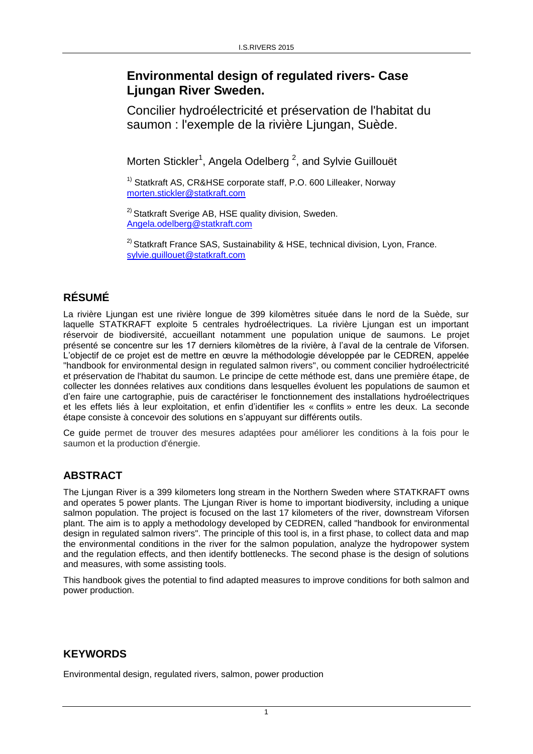# **Environmental design of regulated rivers- Case Ljungan River Sweden.**

Concilier hydroélectricité et préservation de l'habitat du saumon : l'exemple de la rivière Ljungan, Suède.

Morten Stickler<sup>1</sup>, Angela Odelberg<sup>2</sup>, and Sylvie Guillouët

 $1)$  Statkraft AS, CR&HSE corporate staff, P.O. 600 Lilleaker, Norway [morten.stickler@statkraft.c](mailto:morten.stickler@statkraft.)om

<sup>2)</sup> Statkraft Sverige AB, HSE quality division, Sweden. [Angela.odelberg@statkraft.com](mailto:Angela.odelberg@statkraft.com)

 $2)$  Statkraft France SAS, Sustainability & HSE, technical division, Lyon, France. [sylvie.guillouet@statkraft.com](mailto:sylvie.guillouet@statkraft.com)

## **RÉSUMÉ**

La rivière Ljungan est une rivière longue de 399 kilomètres située dans le nord de la Suède, sur laquelle STATKRAFT exploite 5 centrales hydroélectriques. La rivière Ljungan est un important réservoir de biodiversité, accueillant notamment une population unique de saumons. Le projet présenté se concentre sur les 17 derniers kilomètres de la rivière, à l'aval de la centrale de Viforsen. L'objectif de ce projet est de mettre en œuvre la méthodologie développée par le CEDREN, appelée "handbook for environmental design in regulated salmon rivers", ou comment concilier hydroélectricité et préservation de l'habitat du saumon. Le principe de cette méthode est, dans une première étape, de collecter les données relatives aux conditions dans lesquelles évoluent les populations de saumon et d'en faire une cartographie, puis de caractériser le fonctionnement des installations hydroélectriques et les effets liés à leur exploitation, et enfin d'identifier les « conflits » entre les deux. La seconde étape consiste à concevoir des solutions en s'appuyant sur différents outils.

Ce guide permet de trouver des mesures adaptées pour améliorer les conditions à la fois pour le saumon et la production d'énergie.

### **ABSTRACT**

The Ljungan River is a 399 kilometers long stream in the Northern Sweden where STATKRAFT owns and operates 5 power plants. The Ljungan River is home to important biodiversity, including a unique salmon population. The project is focused on the last 17 kilometers of the river, downstream Viforsen plant. The aim is to apply a methodology developed by CEDREN, called "handbook for environmental design in regulated salmon rivers". The principle of this tool is, in a first phase, to collect data and map the environmental conditions in the river for the salmon population, analyze the hydropower system and the regulation effects, and then identify bottlenecks. The second phase is the design of solutions and measures, with some assisting tools.

This handbook gives the potential to find adapted measures to improve conditions for both salmon and power production.

### **KEYWORDS**

Environmental design, regulated rivers, salmon, power production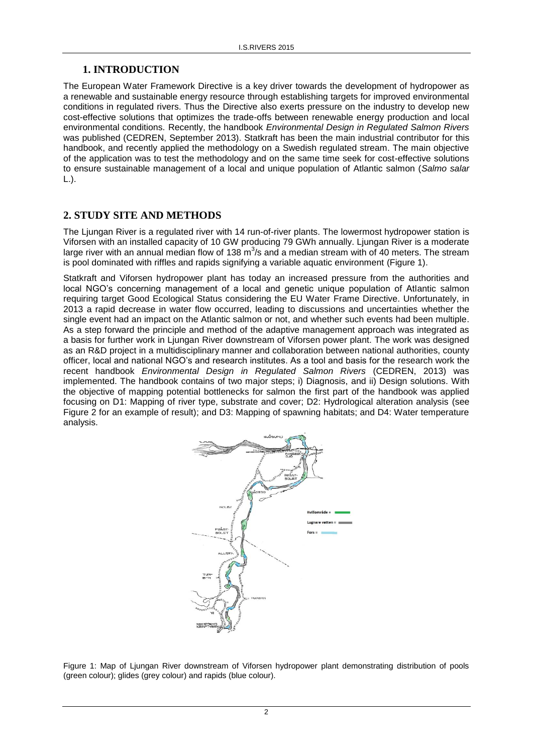#### **1. INTRODUCTION**

The European Water Framework Directive is a key driver towards the development of hydropower as a renewable and sustainable energy resource through establishing targets for improved environmental conditions in regulated rivers. Thus the Directive also exerts pressure on the industry to develop new cost-effective solutions that optimizes the trade-offs between renewable energy production and local environmental conditions. Recently, the handbook *Environmental Design in Regulated Salmon Rivers* was published (CEDREN, September 2013). Statkraft has been the main industrial contributor for this handbook, and recently applied the methodology on a Swedish regulated stream. The main objective of the application was to test the methodology and on the same time seek for cost-effective solutions to ensure sustainable management of a local and unique population of Atlantic salmon (*Salmo salar* L.).

### **2. STUDY SITE AND METHODS**

The Ljungan River is a regulated river with 14 run-of-river plants. The lowermost hydropower station is Viforsen with an installed capacity of 10 GW producing 79 GWh annually. Ljungan River is a moderate large river with an annual median flow of 138 m<sup>3</sup>/s and a median stream with of 40 meters. The stream is pool dominated with riffles and rapids signifying a variable aquatic environment (Figure 1).

Statkraft and Viforsen hydropower plant has today an increased pressure from the authorities and local NGO's concerning management of a local and genetic unique population of Atlantic salmon requiring target Good Ecological Status considering the EU Water Frame Directive. Unfortunately, in 2013 a rapid decrease in water flow occurred, leading to discussions and uncertainties whether the single event had an impact on the Atlantic salmon or not, and whether such events had been multiple. As a step forward the principle and method of the adaptive management approach was integrated as a basis for further work in Ljungan River downstream of Viforsen power plant. The work was designed as an R&D project in a multidisciplinary manner and collaboration between national authorities, county officer, local and national NGO's and research institutes. As a tool and basis for the research work the recent handbook *Environmental Design in Regulated Salmon Rivers* (CEDREN, 2013) was implemented. The handbook contains of two major steps; i) Diagnosis, and ii) Design solutions. With the objective of mapping potential bottlenecks for salmon the first part of the handbook was applied focusing on D1: Mapping of river type, substrate and cover; D2: Hydrological alteration analysis (see Figure 2 for an example of result); and D3: Mapping of spawning habitats; and D4: Water temperature analysis.



Figure 1: Map of Ljungan River downstream of Viforsen hydropower plant demonstrating distribution of pools (green colour); glides (grey colour) and rapids (blue colour).